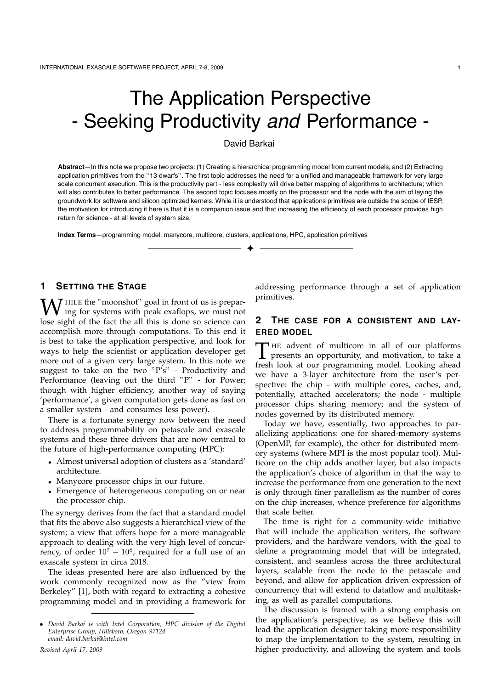# The Application Perspective - Seeking Productivity *and* Performance -

## David Barkai

**Abstract**—In this note we propose two projects: (1) Creating a hierarchical programming model from current models, and (2) Extracting application primitives from the "13 dwarfs". The first topic addresses the need for a unified and manageable framework for very large scale concurrent execution. This is the productivity part - less complexity will drive better mapping of algorithms to architecture; which will also contributes to better performance. The second topic focuses mostly on the processor and the node with the aim of laying the groundwork for software and silicon optimized kernels. While it is understood that applications primitives are outside the scope of IESP, the motivation for introducing it here is that it is a companion issue and that increasing the efficiency of each processor provides high return for science - at all levels of system size.

✦

**Index Terms**—programming model, manycore, multicore, clusters, applications, HPC, application primitives

## **1 SETTING THE STAGE**

 $\overline{I}$  HILE the "moonshot" goal in front of us is preparing for systems with peak exaflops, we must not lose sight of the fact the all this is done so science can accomplish more through computations. To this end it is best to take the application perspective, and look for ways to help the scientist or application developer get more out of a given very large system. In this note we suggest to take on the two "P's" - Productivity and Performance (leaving out the third "P" - for Power; though with higher efficiency, another way of saying 'performance', a given computation gets done as fast on a smaller system - and consumes less power).

There is a fortunate synergy now between the need to address programmability on petascale and exascale systems and these three drivers that are now central to the future of high-performance computing (HPC):

- Almost universal adoption of clusters as a 'standard' architecture.
- Manycore processor chips in our future.
- Emergence of heterogeneous computing on or near the processor chip.

The synergy derives from the fact that a standard model that fits the above also suggests a hierarchical view of the system; a view that offers hope for a more manageable approach to dealing with the very high level of concurrency, of order  $10^7 - 10^8$ , required for a full use of an exascale system in circa 2018.

The ideas presented here are also influenced by the work commonly recognized now as the "view from Berkeley" [1], both with regard to extracting a cohesive programming model and in providing a framework for addressing performance through a set of application primitives.

## **2 THE CASE FOR A CONSISTENT AND LAY-ERED MODEL**

THE advent of multicore in all of our platforms<br>presents an opportunity, and motivation, to take a<br>freeh look at our programming model. Looking aboad fresh look at our programming model. Looking ahead we have a 3-layer architecture from the user's perspective: the chip - with multiple cores, caches, and, potentially, attached accelerators; the node - multiple processor chips sharing memory; and the system of nodes governed by its distributed memory.

Today we have, essentially, two approaches to parallelizing applications: one for shared-memory systems (OpenMP, for example), the other for distributed memory systems (where MPI is the most popular tool). Multicore on the chip adds another layer, but also impacts the application's choice of algorithm in that the way to increase the performance from one generation to the next is only through finer parallelism as the number of cores on the chip increases, whence preference for algorithms that scale better.

The time is right for a community-wide initiative that will include the application writers, the software providers, and the hardware vendors, with the goal to define a programming model that will be integrated, consistent, and seamless across the three architectural layers, scalable from the node to the petascale and beyond, and allow for application driven expression of concurrency that will extend to dataflow and multitasking, as well as parallel computations.

The discussion is framed with a strong emphasis on the application's perspective, as we believe this will lead the application designer taking more responsibility to map the implementation to the system, resulting in higher productivity, and allowing the system and tools

<sup>•</sup> *David Barkai is with Intel Corporation, HPC division of the Digital Enterprise Group, Hillsboro, Oregon 97124 email: david.barkai@intel.com*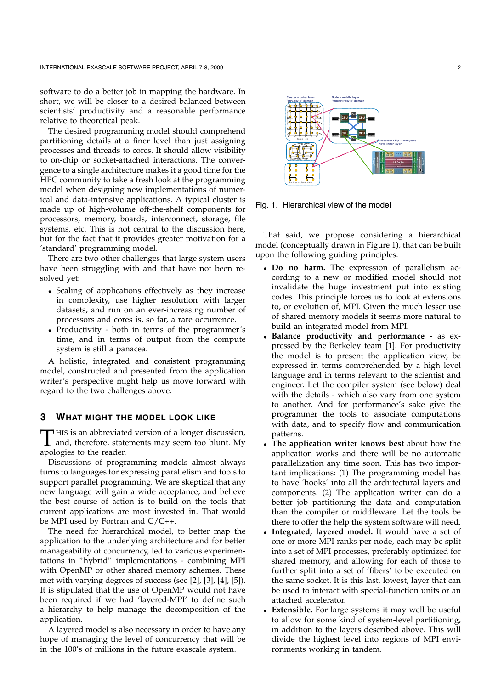software to do a better job in mapping the hardware. In short, we will be closer to a desired balanced between scientists' productivity and a reasonable performance relative to theoretical peak.

The desired programming model should comprehend partitioning details at a finer level than just assigning processes and threads to cores. It should allow visibility to on-chip or socket-attached interactions. The convergence to a single architecture makes it a good time for the HPC community to take a fresh look at the programming model when designing new implementations of numerical and data-intensive applications. A typical cluster is made up of high-volume off-the-shelf components for processors, memory, boards, interconnect, storage, file systems, etc. This is not central to the discussion here, but for the fact that it provides greater motivation for a 'standard' programming model.

There are two other challenges that large system users have been struggling with and that have not been resolved yet:

- Scaling of applications effectively as they increase in complexity, use higher resolution with larger datasets, and run on an ever-increasing number of processors and cores is, so far, a rare occurrence.
- Productivity both in terms of the programmer's time, and in terms of output from the compute system is still a panacea.

A holistic, integrated and consistent programming model, constructed and presented from the application writer's perspective might help us move forward with regard to the two challenges above.

### **3 WHAT MIGHT THE MODEL LOOK LIKE**

T HIS is an abbreviated version of a longer discussion,<br>and, therefore, statements may seem too blunt. My<br>apploxies to the reader apologies to the reader.

Discussions of programming models almost always turns to languages for expressing parallelism and tools to support parallel programming. We are skeptical that any new language will gain a wide acceptance, and believe the best course of action is to build on the tools that current applications are most invested in. That would be MPI used by Fortran and  $C/C++$ .

The need for hierarchical model, to better map the application to the underlying architecture and for better manageability of concurrency, led to various experimentations in "hybrid" implementations - combining MPI with OpenMP or other shared memory schemes. These met with varying degrees of success (see [2], [3], [4], [5]). It is stipulated that the use of OpenMP would not have been required if we had 'layered-MPI' to define such a hierarchy to help manage the decomposition of the application.

A layered model is also necessary in order to have any hope of managing the level of concurrency that will be in the 100's of millions in the future exascale system.



Fig. 1. Hierarchical view of the model

That said, we propose considering a hierarchical model (conceptually drawn in Figure 1), that can be built upon the following guiding principles:

- **Do no harm.** The expression of parallelism according to a new or modified model should not invalidate the huge investment put into existing codes. This principle forces us to look at extensions to, or evolution of, MPI. Given the much lesser use of shared memory models it seems more natural to build an integrated model from MPI.
- **Balance productivity and performance** as expressed by the Berkeley team [1]. For productivity the model is to present the application view, be expressed in terms comprehended by a high level language and in terms relevant to the scientist and engineer. Let the compiler system (see below) deal with the details - which also vary from one system to another. And for performance's sake give the programmer the tools to associate computations with data, and to specify flow and communication patterns.
- **The application writer knows best** about how the application works and there will be no automatic parallelization any time soon. This has two important implications: (1) The programming model has to have 'hooks' into all the architectural layers and components. (2) The application writer can do a better job partitioning the data and computation than the compiler or middleware. Let the tools be there to offer the help the system software will need.
- **Integrated, layered model.** It would have a set of one or more MPI ranks per node, each may be split into a set of MPI processes, preferably optimized for shared memory, and allowing for each of those to further split into a set of 'fibers' to be executed on the same socket. It is this last, lowest, layer that can be used to interact with special-function units or an attached accelerator.
- **Extensible.** For large systems it may well be useful to allow for some kind of system-level partitioning, in addition to the layers described above. This will divide the highest level into regions of MPI environments working in tandem.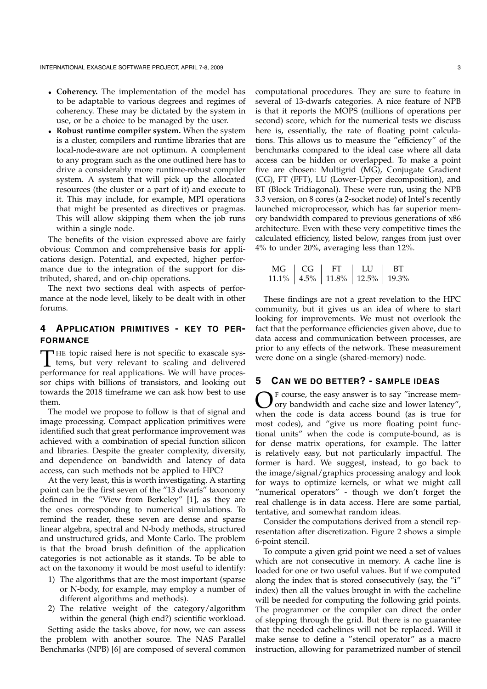- **Coherency.** The implementation of the model has to be adaptable to various degrees and regimes of coherency. These may be dictated by the system in use, or be a choice to be managed by the user.
- **Robust runtime compiler system.** When the system is a cluster, compilers and runtime libraries that are local-node-aware are not optimum. A complement to any program such as the one outlined here has to drive a considerably more runtime-robust compiler system. A system that will pick up the allocated resources (the cluster or a part of it) and execute to it. This may include, for example, MPI operations that might be presented as directives or pragmas. This will allow skipping them when the job runs within a single node.

The benefits of the vision expressed above are fairly obvious: Common and comprehensive basis for applications design. Potential, and expected, higher performance due to the integration of the support for distributed, shared, and on-chip operations.

The next two sections deal with aspects of performance at the node level, likely to be dealt with in other forums.

## **4 APPLICATION PRIMITIVES - KEY TO PER-FORMANCE**

THE topic raised here is not specific to exascale sys-<br>tems, but very relevant to scaling and delivered<br>porformance for real applications. We will have proces performance for real applications. We will have processor chips with billions of transistors, and looking out towards the 2018 timeframe we can ask how best to use them.

The model we propose to follow is that of signal and image processing. Compact application primitives were identified such that great performance improvement was achieved with a combination of special function silicon and libraries. Despite the greater complexity, diversity, and dependence on bandwidth and latency of data access, can such methods not be applied to HPC?

At the very least, this is worth investigating. A starting point can be the first seven of the "13 dwarfs" taxonomy defined in the "View from Berkeley" [1], as they are the ones corresponding to numerical simulations. To remind the reader, these seven are dense and sparse linear algebra, spectral and N-body methods, structured and unstructured grids, and Monte Carlo. The problem is that the broad brush definition of the application categories is not actionable as it stands. To be able to act on the taxonomy it would be most useful to identify:

- 1) The algorithms that are the most important (sparse or N-body, for example, may employ a number of different algorithms and methods).
- 2) The relative weight of the category/algorithm within the general (high end?) scientific workload.

Setting aside the tasks above, for now, we can assess the problem with another source. The NAS Parallel Benchmarks (NPB) [6] are composed of several common computational procedures. They are sure to feature in several of 13-dwarfs categories. A nice feature of NPB is that it reports the MOPS (millions of operations per second) score, which for the numerical tests we discuss here is, essentially, the rate of floating point calculations. This allows us to measure the "efficiency" of the benchmarks compared to the ideal case where all data access can be hidden or overlapped. To make a point five are chosen: Multigrid (MG), Conjugate Gradient (CG), FT (FFT), LU (Lower-Upper decomposition), and BT (Block Tridiagonal). These were run, using the NPB 3.3 version, on 8 cores (a 2-socket node) of Intel's recently launched microprocessor, which has far superior memory bandwidth compared to previous generations of x86 architecture. Even with these very competitive times the calculated efficiency, listed below, ranges from just over 4% to under 20%, averaging less than 12%.

| $M\left( \frac{1}{1} \right)$ | $CC-$ |                                      | T.U | BТ |
|-------------------------------|-------|--------------------------------------|-----|----|
|                               |       | 11.1%   4.5%   11.8%   12.5%   19.3% |     |    |

These findings are not a great revelation to the HPC community, but it gives us an idea of where to start looking for improvements. We must not overlook the fact that the performance efficiencies given above, due to data access and communication between processes, are prior to any effects of the network. These measurement were done on a single (shared-memory) node.

## **5 CAN WE DO BETTER? - SAMPLE IDEAS**

OF course, the easy answer is to say "increase mem-<br>ory bandwidth and cache size and lower latency",<br>when the code is data access bound (as is true for when the code is data access bound (as is true for most codes), and "give us more floating point functional units" when the code is compute-bound, as is for dense matrix operations, for example. The latter is relatively easy, but not particularly impactful. The former is hard. We suggest, instead, to go back to the image/signal/graphics processing analogy and look for ways to optimize kernels, or what we might call "numerical operators" - though we don't forget the real challenge is in data access. Here are some partial, tentative, and somewhat random ideas.

Consider the computations derived from a stencil representation after discretization. Figure 2 shows a simple 6-point stencil.

To compute a given grid point we need a set of values which are not consecutive in memory. A cache line is loaded for one or two useful values. But if we computed along the index that is stored consecutively (say, the "i" index) then all the values brought in with the cacheline will be needed for computing the following grid points. The programmer or the compiler can direct the order of stepping through the grid. But there is no guarantee that the needed cachelines will not be replaced. Will it make sense to define a "stencil operator" as a macro instruction, allowing for parametrized number of stencil